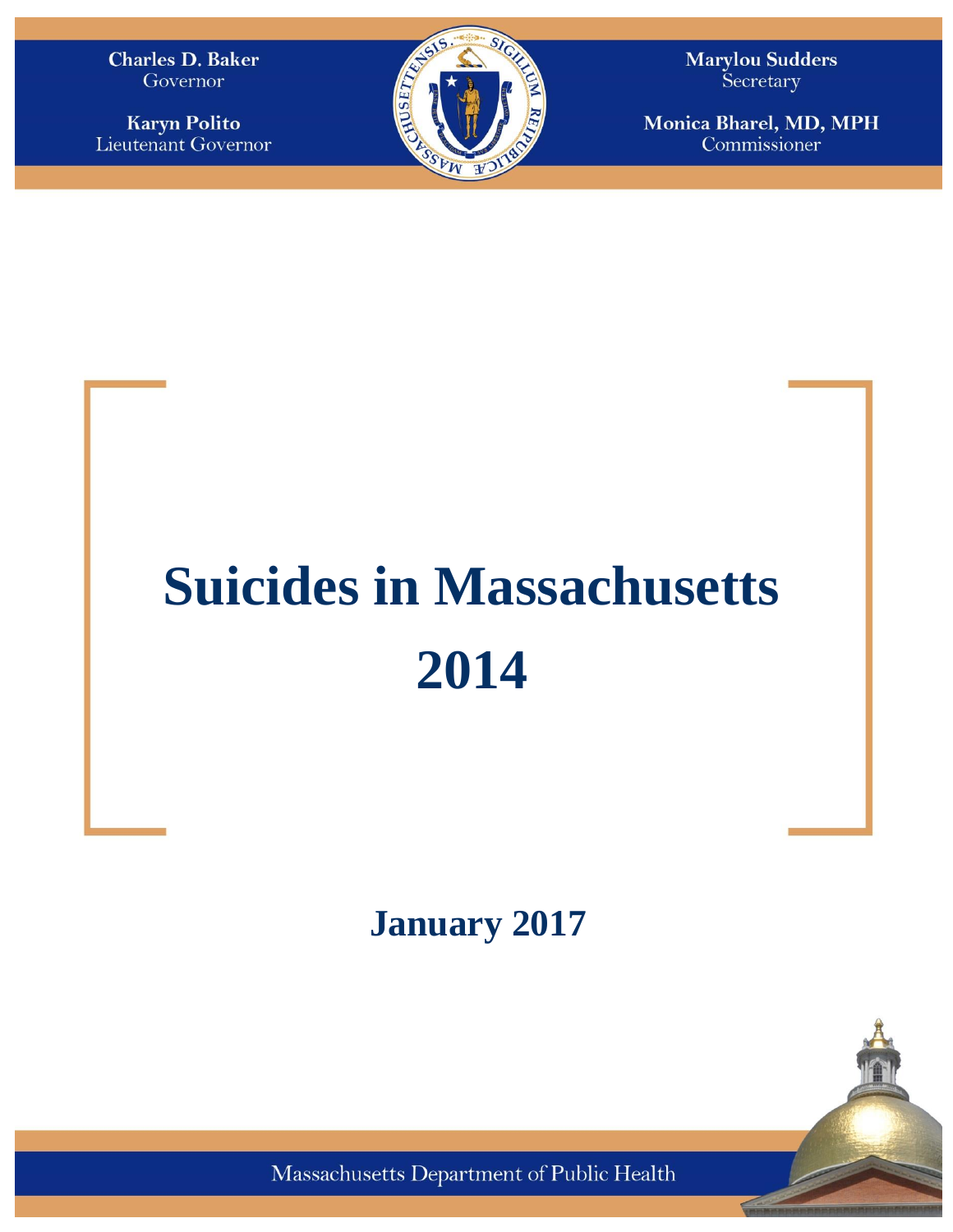**Charles D. Baker** Governor

**Karyn Polito** Lieutenant Governor



**Marylou Sudders** Secretary

Monica Bharel, MD, MPH Commissioner

# **Suicides in Massachusetts 2014**

**January 2017**



Massachusetts Department of Public Health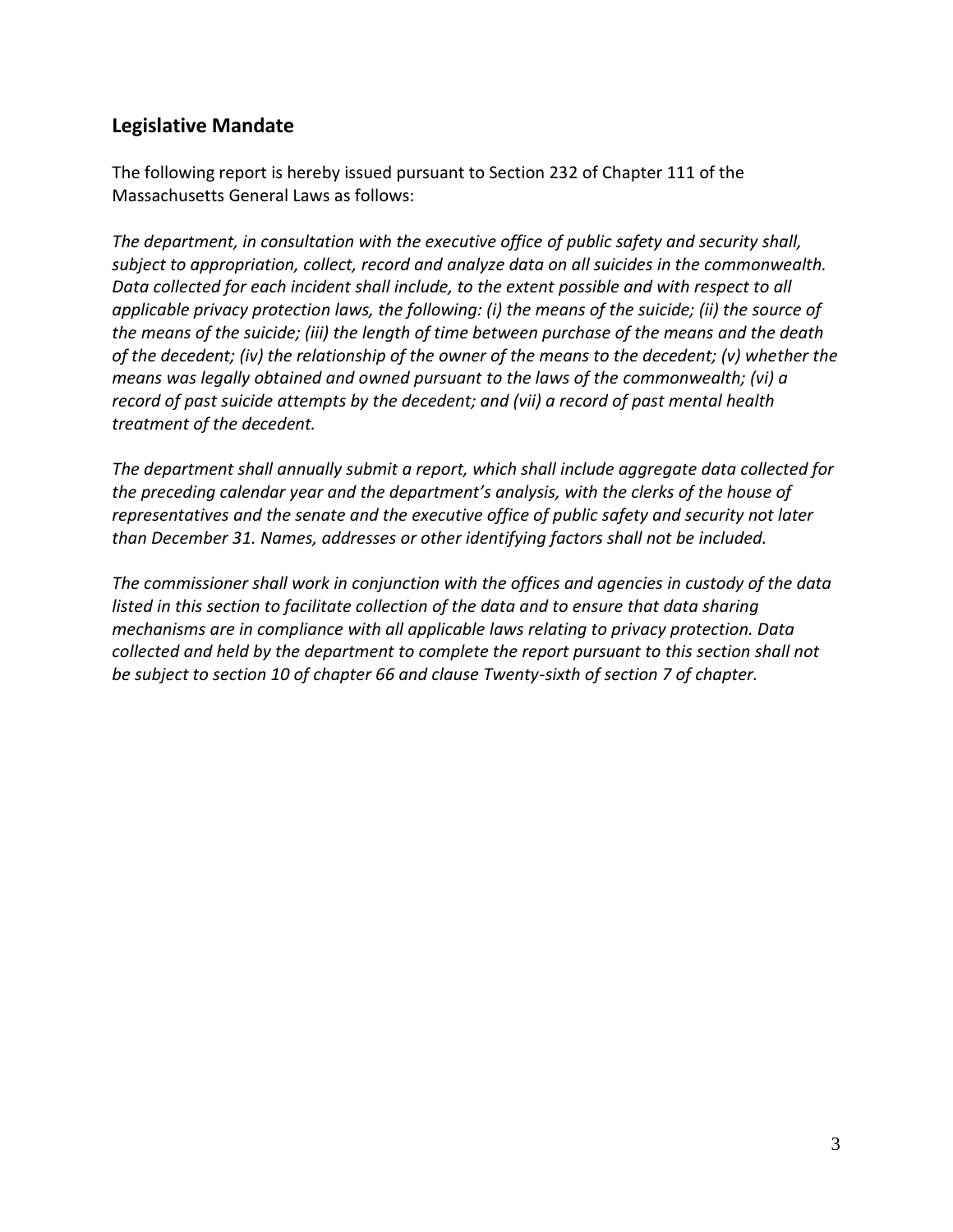## **Legislative Mandate**

The following report is hereby issued pursuant to Section 232 of Chapter 111 of the Massachusetts General Laws as follows:

*The department, in consultation with the executive office of public safety and security shall, subject to appropriation, collect, record and analyze data on all suicides in the commonwealth. Data collected for each incident shall include, to the extent possible and with respect to all applicable privacy protection laws, the following: (i) the means of the suicide; (ii) the source of the means of the suicide; (iii) the length of time between purchase of the means and the death of the decedent; (iv) the relationship of the owner of the means to the decedent; (v) whether the means was legally obtained and owned pursuant to the laws of the commonwealth; (vi) a record of past suicide attempts by the decedent; and (vii) a record of past mental health treatment of the decedent.* 

*The department shall annually submit a report, which shall include aggregate data collected for the preceding calendar year and the department's analysis, with the clerks of the house of representatives and the senate and the executive office of public safety and security not later than December 31. Names, addresses or other identifying factors shall not be included.* 

*The commissioner shall work in conjunction with the offices and agencies in custody of the data listed in this section to facilitate collection of the data and to ensure that data sharing mechanisms are in compliance with all applicable laws relating to privacy protection. Data collected and held by the department to complete the report pursuant to this section shall not be subject to section 10 of chapter 66 and clause Twenty-sixth of section 7 of chapter.*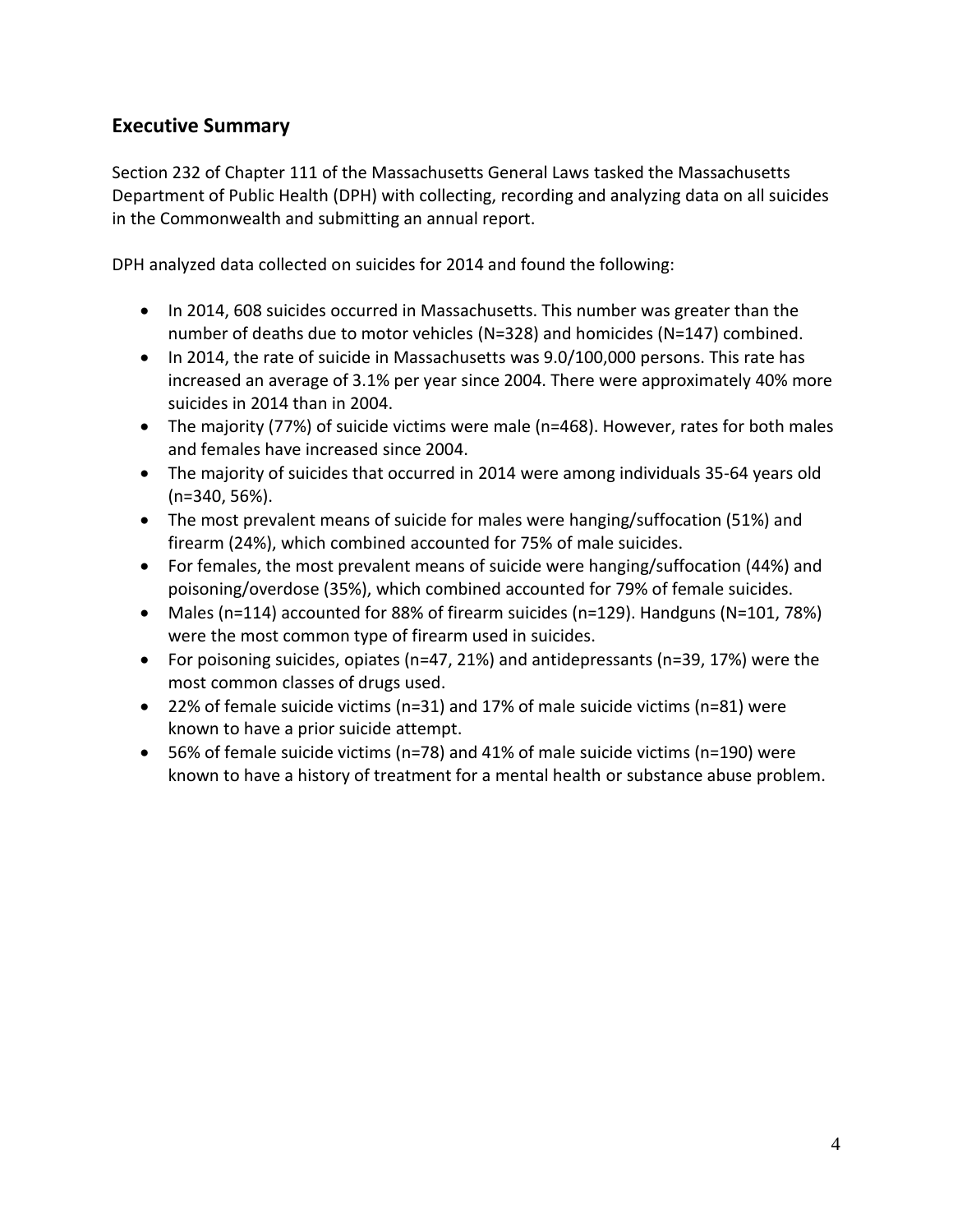## **Executive Summary**

Section 232 of Chapter 111 of the Massachusetts General Laws tasked the Massachusetts Department of Public Health (DPH) with collecting, recording and analyzing data on all suicides in the Commonwealth and submitting an annual report.

DPH analyzed data collected on suicides for 2014 and found the following:

- In 2014, 608 suicides occurred in Massachusetts. This number was greater than the number of deaths due to motor vehicles (N=328) and homicides (N=147) combined.
- In 2014, the rate of suicide in Massachusetts was 9.0/100,000 persons. This rate has increased an average of 3.1% per year since 2004. There were approximately 40% more suicides in 2014 than in 2004.
- The majority (77%) of suicide victims were male (n=468). However, rates for both males and females have increased since 2004.
- The majority of suicides that occurred in 2014 were among individuals 35-64 years old (n=340, 56%).
- The most prevalent means of suicide for males were hanging/suffocation (51%) and firearm (24%), which combined accounted for 75% of male suicides.
- For females, the most prevalent means of suicide were hanging/suffocation (44%) and poisoning/overdose (35%), which combined accounted for 79% of female suicides.
- Males (n=114) accounted for 88% of firearm suicides (n=129). Handguns (N=101, 78%) were the most common type of firearm used in suicides.
- For poisoning suicides, opiates (n=47, 21%) and antidepressants (n=39, 17%) were the most common classes of drugs used.
- 22% of female suicide victims (n=31) and 17% of male suicide victims (n=81) were known to have a prior suicide attempt.
- 56% of female suicide victims (n=78) and 41% of male suicide victims (n=190) were known to have a history of treatment for a mental health or substance abuse problem.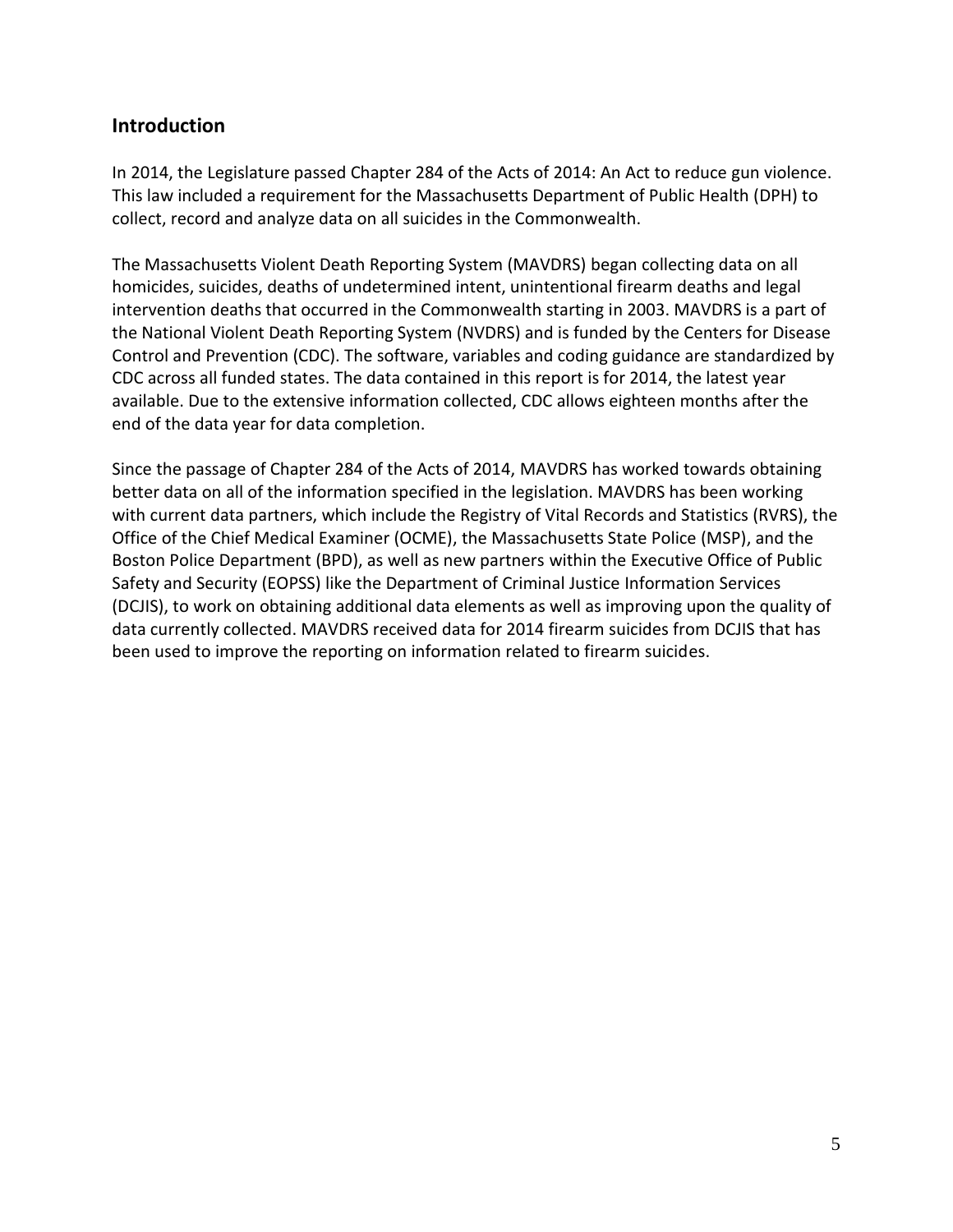## **Introduction**

In 2014, the Legislature passed Chapter 284 of the Acts of 2014: An Act to reduce gun violence. This law included a requirement for the Massachusetts Department of Public Health (DPH) to collect, record and analyze data on all suicides in the Commonwealth.

The Massachusetts Violent Death Reporting System (MAVDRS) began collecting data on all homicides, suicides, deaths of undetermined intent, unintentional firearm deaths and legal intervention deaths that occurred in the Commonwealth starting in 2003. MAVDRS is a part of the National Violent Death Reporting System (NVDRS) and is funded by the Centers for Disease Control and Prevention (CDC). The software, variables and coding guidance are standardized by CDC across all funded states. The data contained in this report is for 2014, the latest year available. Due to the extensive information collected, CDC allows eighteen months after the end of the data year for data completion.

Since the passage of Chapter 284 of the Acts of 2014, MAVDRS has worked towards obtaining better data on all of the information specified in the legislation. MAVDRS has been working with current data partners, which include the Registry of Vital Records and Statistics (RVRS), the Office of the Chief Medical Examiner (OCME), the Massachusetts State Police (MSP), and the Boston Police Department (BPD), as well as new partners within the Executive Office of Public Safety and Security (EOPSS) like the Department of Criminal Justice Information Services (DCJIS), to work on obtaining additional data elements as well as improving upon the quality of data currently collected. MAVDRS received data for 2014 firearm suicides from DCJIS that has been used to improve the reporting on information related to firearm suicides.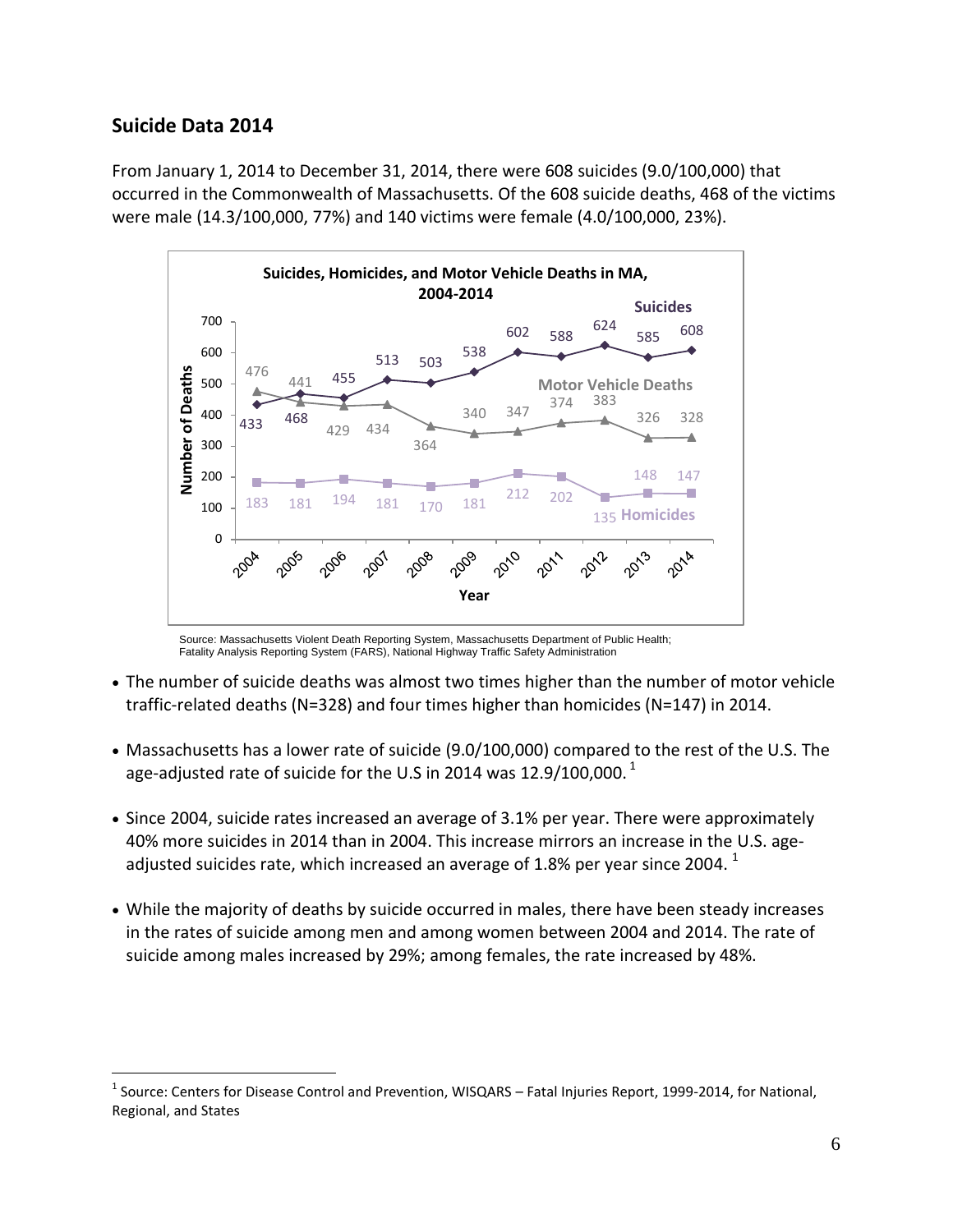## **Suicide Data 2014**

 $\overline{a}$ 

From January 1, 2014 to December 31, 2014, there were 608 suicides (9.0/100,000) that occurred in the Commonwealth of Massachusetts. Of the 608 suicide deaths, 468 of the victims were male (14.3/100,000, 77%) and 140 victims were female (4.0/100,000, 23%).



Source: Massachusetts Violent Death Reporting System, Massachusetts Department of Public Health; Fatality Analysis Reporting System (FARS), National Highway Traffic Safety Administration

- The number of suicide deaths was almost two times higher than the number of motor vehicle traffic-related deaths (N=328) and four times higher than homicides (N=147) in 2014.
- Massachusetts has a lower rate of suicide (9.0/100,000) compared to the rest of the U.S. The age-adjusted rate of suicide for the U.S in 2014 was 12.9/100,000.<sup>1</sup>
- Since 2004, suicide rates increased an average of 3.1% per year. There were approximately 40% more suicides in 2014 than in 2004. This increase mirrors an increase in the U.S. ageadjusted suicides rate, which increased an average of 1.8% per year since 2004.  $^{\rm 1}$
- While the majority of deaths by suicide occurred in males, there have been steady increases in the rates of suicide among men and among women between 2004 and 2014. The rate of suicide among males increased by 29%; among females, the rate increased by 48%.

<sup>&</sup>lt;sup>1</sup> Source: Centers for Disease Control and Prevention, WISQARS – Fatal Injuries Report, 1999-2014, for National, Regional, and States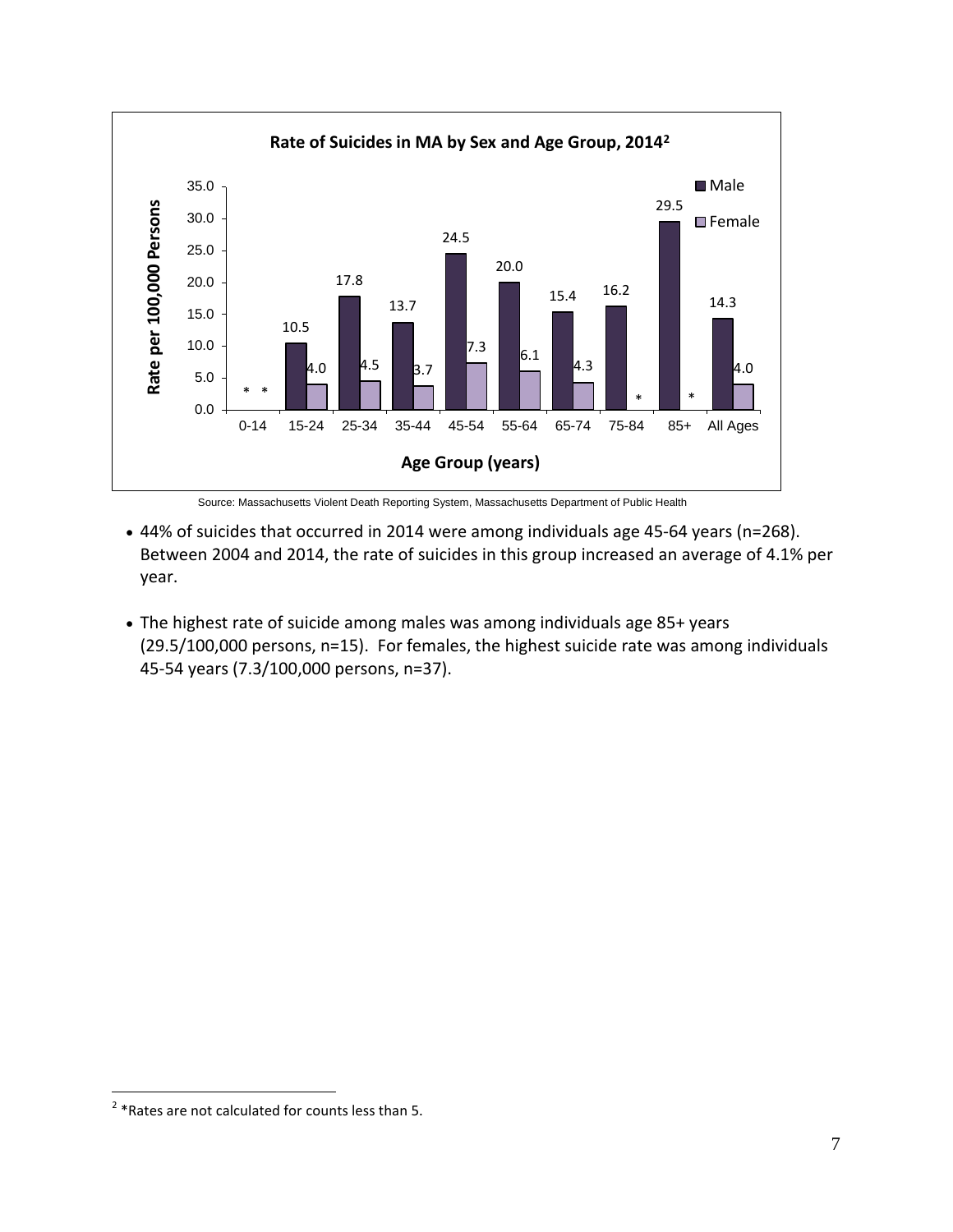

Source: Massachusetts Violent Death Reporting System, Massachusetts Department of Public Health

- 44% of suicides that occurred in 2014 were among individuals age 45-64 years (n=268). Between 2004 and 2014, the rate of suicides in this group increased an average of 4.1% per year.
- The highest rate of suicide among males was among individuals age 85+ years (29.5/100,000 persons, n=15). For females, the highest suicide rate was among individuals 45-54 years (7.3/100,000 persons, n=37).

 2 \*Rates are not calculated for counts less than 5.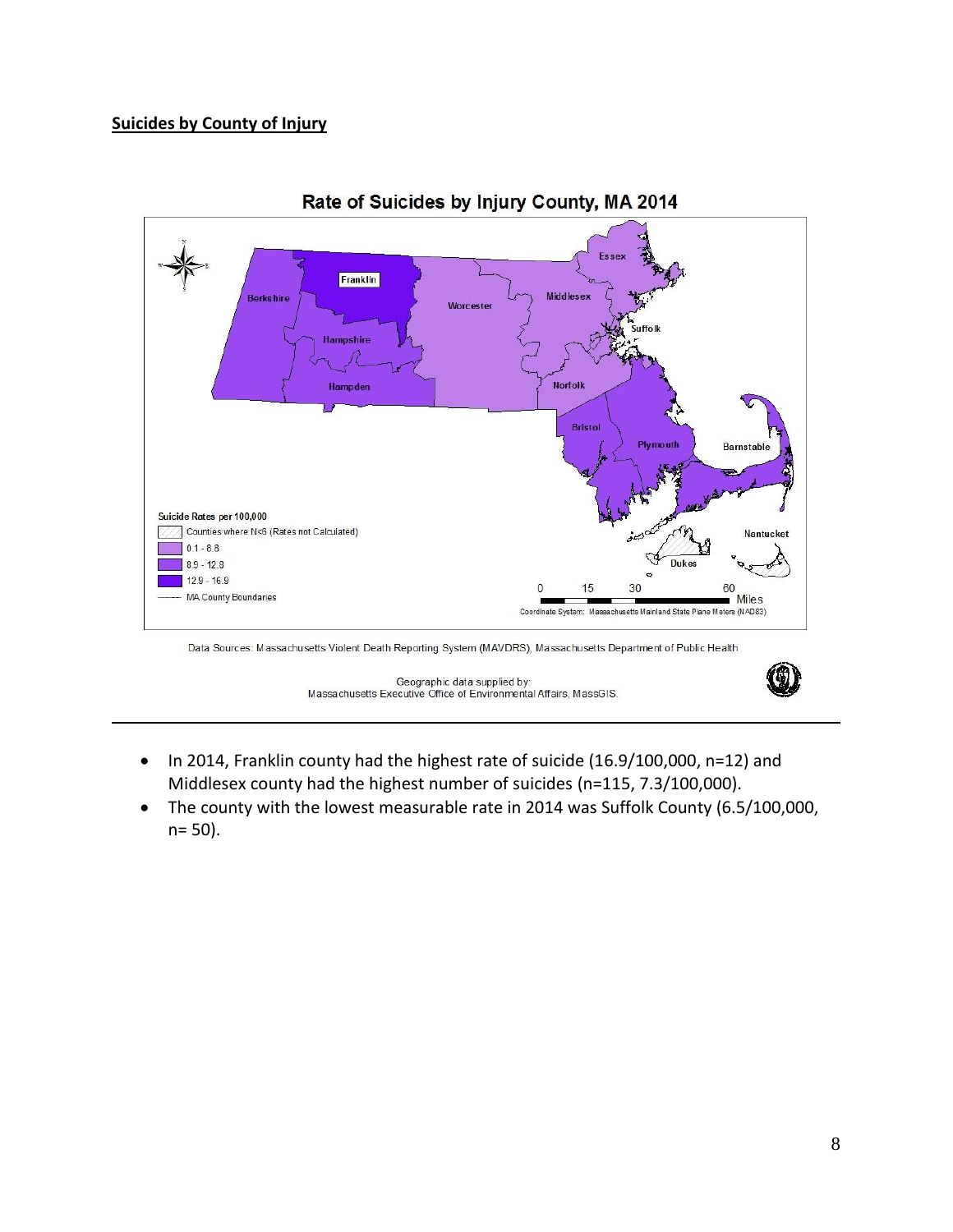### **Suicides by County of Injury**



Rate of Suicides by Injury County, MA 2014

Geographic data supplied by: Massachusetts Executive Office of Environmental Affairs, MassGIS.

- In 2014, Franklin county had the highest rate of suicide (16.9/100,000, n=12) and Middlesex county had the highest number of suicides (n=115, 7.3/100,000).
- The county with the lowest measurable rate in 2014 was Suffolk County (6.5/100,000, n= 50).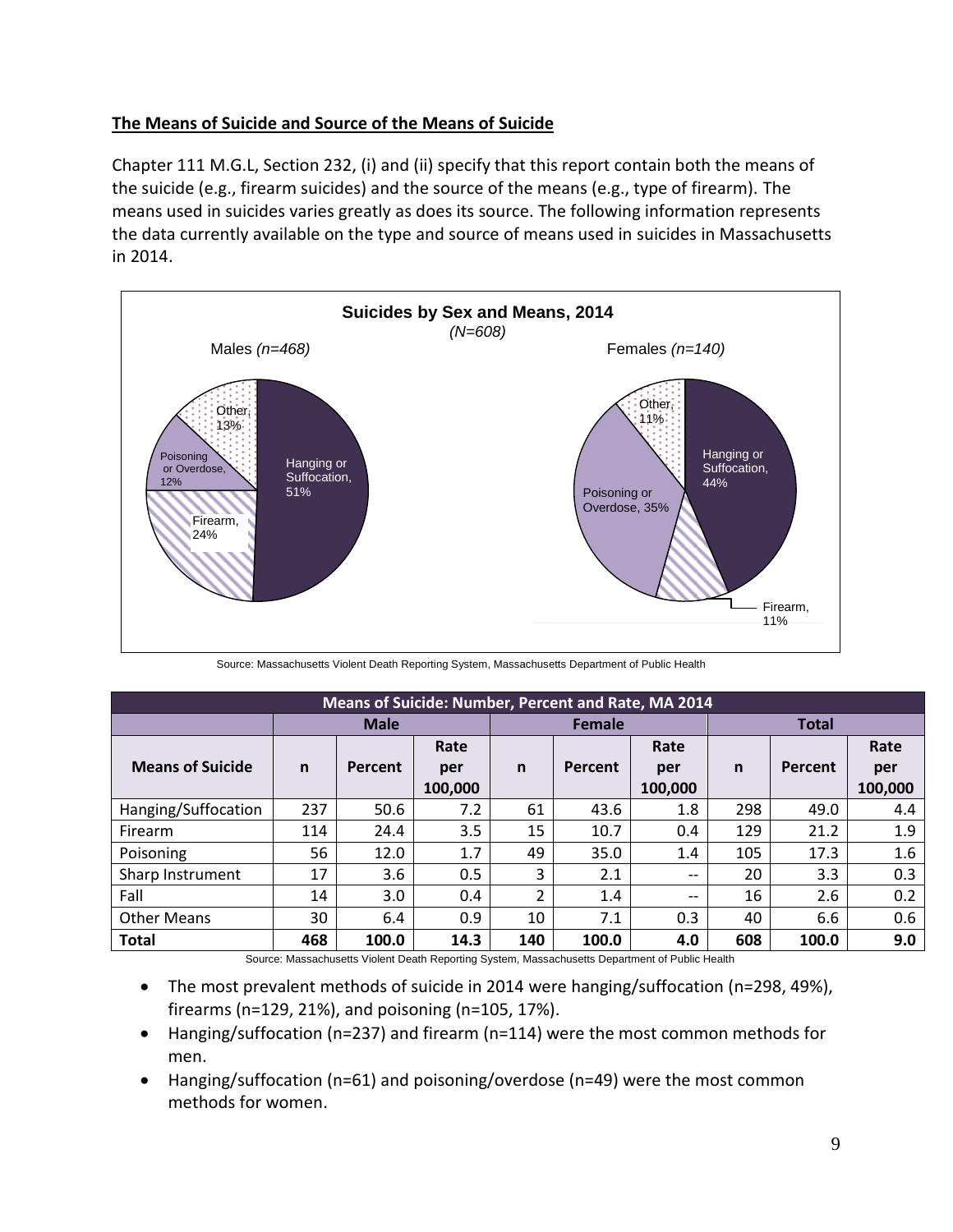### **The Means of Suicide and Source of the Means of Suicide**

Chapter 111 M.G.L, Section 232, (i) and (ii) specify that this report contain both the means of the suicide (e.g., firearm suicides) and the source of the means (e.g., type of firearm). The means used in suicides varies greatly as does its source. The following information represents the data currently available on the type and source of means used in suicides in Massachusetts in 2014.



Source: Massachusetts Violent Death Reporting System, Massachusetts Department of Public Health

| <b>Means of Suicide: Number, Percent and Rate, MA 2014</b> |              |             |         |              |         |         |              |         |         |
|------------------------------------------------------------|--------------|-------------|---------|--------------|---------|---------|--------------|---------|---------|
|                                                            |              | <b>Male</b> |         | Female       |         |         | <b>Total</b> |         |         |
|                                                            |              |             | Rate    |              |         | Rate    |              |         | Rate    |
| <b>Means of Suicide</b>                                    | $\mathsf{n}$ | Percent     | per     | $\mathsf{n}$ | Percent | per     | $\mathsf{n}$ | Percent | per     |
|                                                            |              |             | 100,000 |              |         | 100,000 |              |         | 100,000 |
| Hanging/Suffocation                                        | 237          | 50.6        | 7.2     | 61           | 43.6    | 1.8     | 298          | 49.0    | 4.4     |
| Firearm                                                    | 114          | 24.4        | 3.5     | 15           | 10.7    | 0.4     | 129          | 21.2    | 1.9     |
| Poisoning                                                  | 56           | 12.0        | 1.7     | 49           | 35.0    | 1.4     | 105          | 17.3    | $1.6\,$ |
| Sharp Instrument                                           | 17           | 3.6         | 0.5     | 3            | 2.1     | $- -$   | 20           | 3.3     | 0.3     |
| Fall                                                       | 14           | 3.0         | 0.4     | 2            | 1.4     | $- -$   | 16           | 2.6     | 0.2     |
| <b>Other Means</b>                                         | 30           | 6.4         | 0.9     | 10           | 7.1     | 0.3     | 40           | 6.6     | 0.6     |
| <b>Total</b>                                               | 468          | 100.0       | 14.3    | 140          | 100.0   | 4.0     | 608          | 100.0   | 9.0     |

Source: Massachusetts Violent Death Reporting System, Massachusetts Department of Public Health

- The most prevalent methods of suicide in 2014 were hanging/suffocation (n=298, 49%), firearms (n=129, 21%), and poisoning (n=105, 17%).
- Hanging/suffocation (n=237) and firearm (n=114) were the most common methods for men.
- Hanging/suffocation (n=61) and poisoning/overdose (n=49) were the most common methods for women.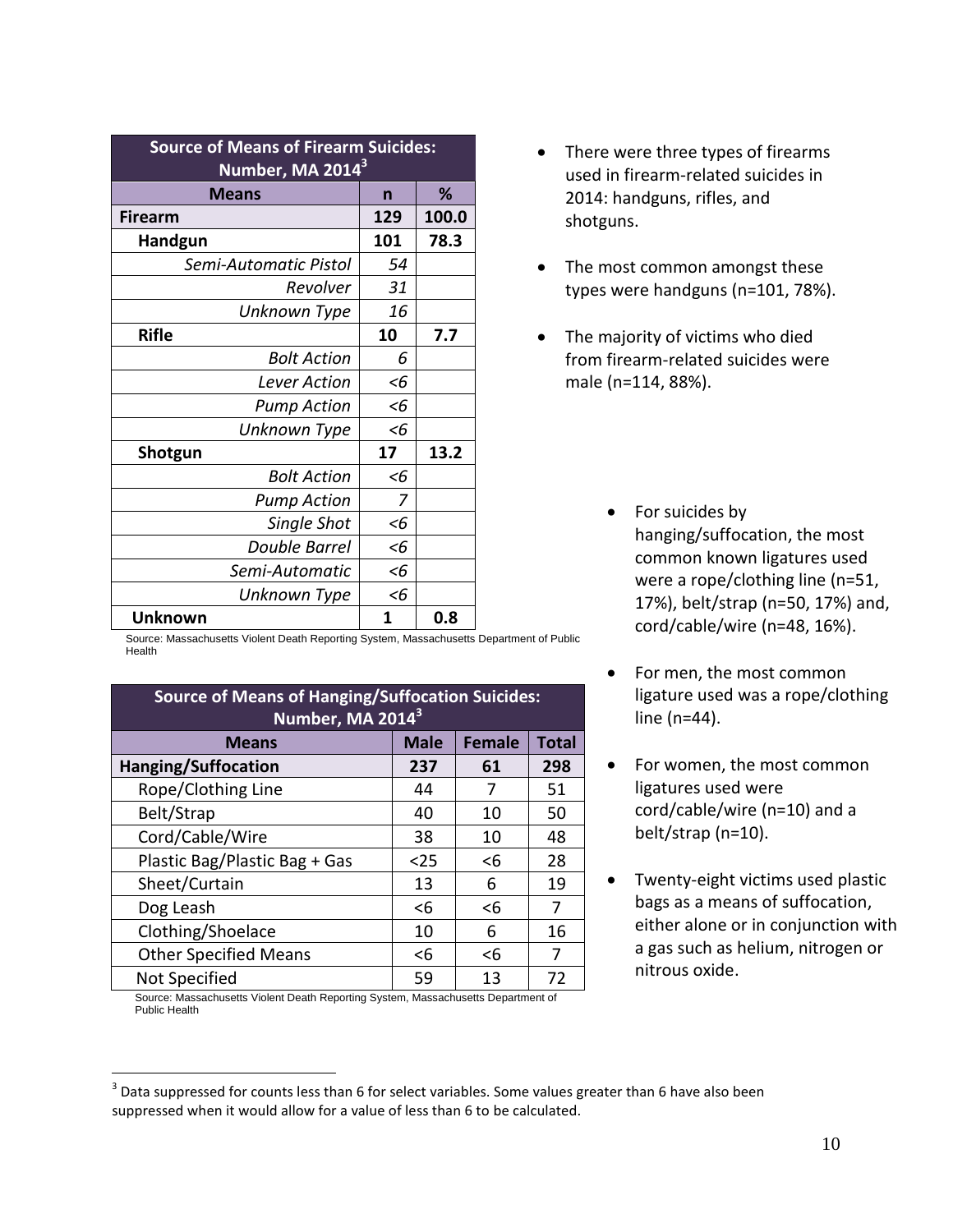| <b>Source of Means of Firearm Suicides:</b><br>Number, MA 2014 <sup>3</sup> |       |       |  |  |
|-----------------------------------------------------------------------------|-------|-------|--|--|
| <b>Means</b><br>℅<br>n                                                      |       |       |  |  |
| <b>Firearm</b>                                                              | 129   | 100.0 |  |  |
| Handgun                                                                     | 101   | 78.3  |  |  |
| Semi-Automatic Pistol                                                       | 54    |       |  |  |
| Revolver                                                                    | 31    |       |  |  |
| Unknown Type                                                                | 16    |       |  |  |
| <b>Rifle</b>                                                                | 10    | 7.7   |  |  |
| <b>Bolt Action</b>                                                          | 6     |       |  |  |
| Lever Action                                                                | $<$ 6 |       |  |  |
| <b>Pump Action</b>                                                          | $<$ 6 |       |  |  |
| Unknown Type                                                                | <6    |       |  |  |
| Shotgun                                                                     | 17    | 13.2  |  |  |
| <b>Bolt Action</b>                                                          | <6    |       |  |  |
| <b>Pump Action</b>                                                          | 7     |       |  |  |
| Single Shot                                                                 | <6    |       |  |  |
| Double Barrel                                                               | <6    |       |  |  |
| Semi-Automatic                                                              | <6    |       |  |  |
| Unknown Type                                                                | <6    |       |  |  |
| <b>Unknown</b>                                                              | 1     | 0.8   |  |  |

- There were three types of firearms used in firearm-related suicides in 2014: handguns, rifles, and shotguns.
- The most common amongst these types were handguns (n=101, 78%).
- The majority of victims who died from firearm-related suicides were male (n=114, 88%).
	- For suicides by hanging/suffocation, the most common known ligatures used were a rope/clothing line (n=51, 17%), belt/strap (n=50, 17%) and, cord/cable/wire (n=48, 16%).
	- For men, the most common ligature used was a rope/clothing line (n=44).
	- For women, the most common ligatures used were cord/cable/wire (n=10) and a belt/strap (n=10).
	- Twenty-eight victims used plastic bags as a means of suffocation, either alone or in conjunction with a gas such as helium, nitrogen or nitrous oxide.

Source: Massachusetts Violent Death Reporting System, Massachusetts Department of Public Health

| <b>Source of Means of Hanging/Suffocation Suicides:</b><br>Number, MA 2014 <sup>3</sup> |       |          |    |  |  |
|-----------------------------------------------------------------------------------------|-------|----------|----|--|--|
| <b>Male</b><br><b>Female</b><br><b>Total</b><br><b>Means</b>                            |       |          |    |  |  |
| Hanging/Suffocation<br>237<br>298<br>61                                                 |       |          |    |  |  |
| Rope/Clothing Line                                                                      | 44    | 7        | 51 |  |  |
| Belt/Strap                                                                              | 40    | 10       | 50 |  |  |
| Cord/Cable/Wire                                                                         | 38    | 10       | 48 |  |  |
| Plastic Bag/Plastic Bag + Gas                                                           | $25$  | $<$ 6    | 28 |  |  |
| Sheet/Curtain                                                                           | 13    | 6        | 19 |  |  |
| Dog Leash                                                                               | $<$ 6 | $6$      | 7  |  |  |
| Clothing/Shoelace                                                                       | 10    | 6        | 16 |  |  |
| <b>Other Specified Means</b>                                                            | <6    | $\leq 6$ | 7  |  |  |
| Not Specified                                                                           | 59    | 13       | 72 |  |  |
| Source: Massachusetts Violent Death Penerting System Massachusetts Department of        |       |          |    |  |  |

etts Violent Death Reporting System, Massachusetts Department of Public Health

 $\overline{a}$  $^3$  Data suppressed for counts less than 6 for select variables. Some values greater than 6 have also been suppressed when it would allow for a value of less than 6 to be calculated.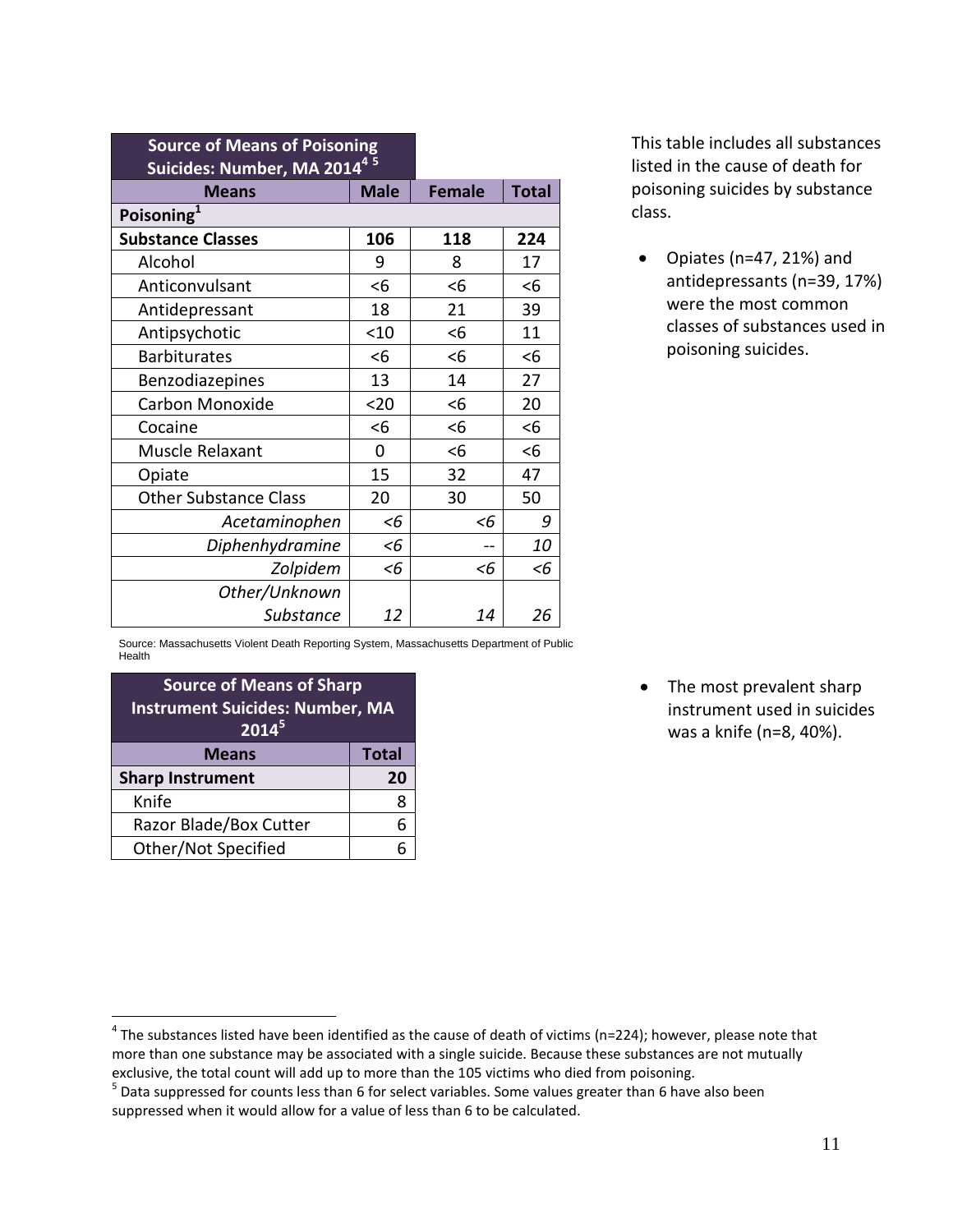| <b>Source of Means of Poisoning</b>     |               |              |       |
|-----------------------------------------|---------------|--------------|-------|
| Suicides: Number, MA 2014 <sup>45</sup> |               |              |       |
| <b>Means</b>                            | <b>Female</b> | <b>Total</b> |       |
| Poisoning <sup>1</sup>                  |               |              |       |
| <b>Substance Classes</b>                | 106           | 118          | 224   |
| Alcohol                                 | 9             | 8            | 17    |
| Anticonvulsant                          | $<$ 6         | $<$ 6        | <6    |
| Antidepressant                          | 18            | 21           | 39    |
| Antipsychotic                           | < 10          | <6           | 11    |
| <b>Barbiturates</b>                     | <6            | <6           | <6    |
| Benzodiazepines                         | 13            | 14           | 27    |
| Carbon Monoxide                         | $20$          | $<$ 6        | 20    |
| Cocaine                                 | $<$ 6         | <6           | <6    |
| Muscle Relaxant                         | 0             | $6$          | <6    |
| Opiate                                  | 15            | 32           | 47    |
| <b>Other Substance Class</b>            | 20            | 30           | 50    |
| Acetaminophen                           | <6            | <6           | 9     |
| Diphenhydramine                         | <6            |              | 10    |
| Zolpidem                                | <6            | <6           | $<$ 6 |
| Other/Unknown                           |               |              |       |
| <b>Substance</b>                        | 12            | 14           | 26    |

This table includes all substances listed in the cause of death for poisoning suicides by substance class.

 Opiates (n=47, 21%) and antidepressants (n=39, 17%) were the most common classes of substances used in poisoning suicides.

Source: Massachusetts Violent Death Reporting System, Massachusetts Department of Public Health

| <b>Source of Means of Sharp</b><br><b>Instrument Suicides: Number, MA</b><br>2014 <sup>5</sup> |  |  |  |
|------------------------------------------------------------------------------------------------|--|--|--|
| <b>Total</b><br><b>Means</b>                                                                   |  |  |  |
| <b>Sharp Instrument</b><br>20                                                                  |  |  |  |
| Knife                                                                                          |  |  |  |
| Razor Blade/Box Cutter                                                                         |  |  |  |
| Other/Not Specified                                                                            |  |  |  |
|                                                                                                |  |  |  |

 $\overline{a}$ 

• The most prevalent sharp instrument used in suicides was a knife (n=8, 40%).

 $^4$  The substances listed have been identified as the cause of death of victims (n=224); however, please note that more than one substance may be associated with a single suicide. Because these substances are not mutually exclusive, the total count will add up to more than the 105 victims who died from poisoning.

 $<sup>5</sup>$  Data suppressed for counts less than 6 for select variables. Some values greater than 6 have also been</sup> suppressed when it would allow for a value of less than 6 to be calculated.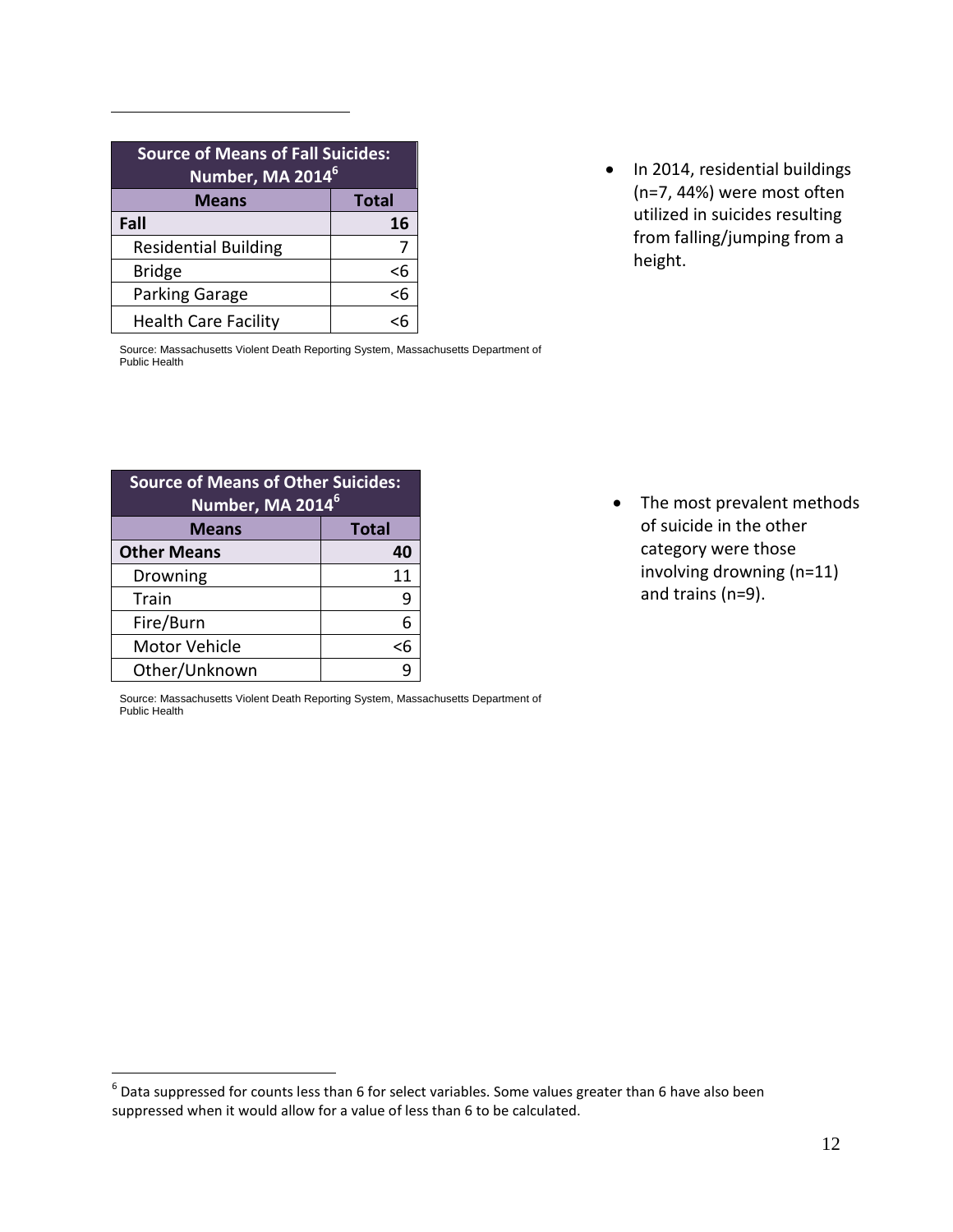| <b>Source of Means of Fall Suicides:</b><br>Number, MA 2014 <sup>6</sup> |    |  |  |
|--------------------------------------------------------------------------|----|--|--|
| <b>Total</b><br><b>Means</b>                                             |    |  |  |
| Fall                                                                     | 16 |  |  |
| <b>Residential Building</b>                                              |    |  |  |
| <b>Bridge</b>                                                            | <6 |  |  |
| Parking Garage                                                           | 36 |  |  |
| <b>Health Care Facility</b>                                              |    |  |  |

• In 2014, residential buildings (n=7, 44%) were most often utilized in suicides resulting from falling/jumping from a height.

Source: Massachusetts Violent Death Reporting System, Massachusetts Department of Public Health

| <b>Source of Means of Other Suicides:</b><br>Number, MA 2014 <sup>6</sup> |    |  |  |
|---------------------------------------------------------------------------|----|--|--|
| <b>Total</b><br><b>Means</b>                                              |    |  |  |
| <b>Other Means</b>                                                        | 40 |  |  |
| Drowning                                                                  | 11 |  |  |
| Train                                                                     |    |  |  |
| Fire/Burn                                                                 | 6  |  |  |
| <b>Motor Vehicle</b>                                                      | <6 |  |  |
| Other/Unknown                                                             |    |  |  |

Source: Massachusetts Violent Death Reporting System, Massachusetts Department of Public Health

• The most prevalent methods of suicide in the other category were those involving drowning (n=11) and trains (n=9).

 6 Data suppressed for counts less than 6 for select variables. Some values greater than 6 have also been suppressed when it would allow for a value of less than 6 to be calculated.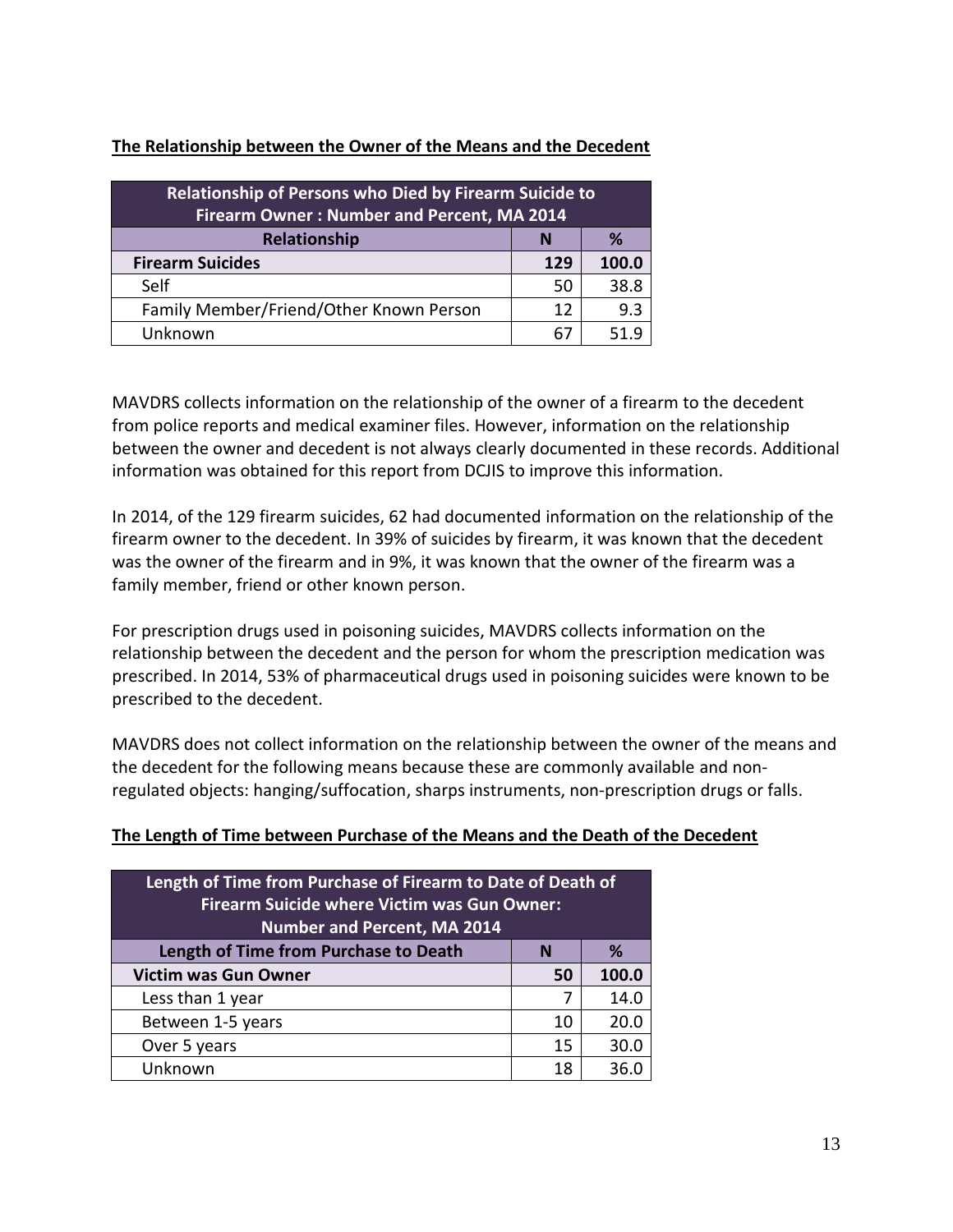| <b>Relationship of Persons who Died by Firearm Suicide to</b><br><b>Firearm Owner: Number and Percent, MA 2014</b> |    |      |  |  |
|--------------------------------------------------------------------------------------------------------------------|----|------|--|--|
| <b>Relationship</b><br>%<br>N                                                                                      |    |      |  |  |
| <b>Firearm Suicides</b><br>100.0<br>129                                                                            |    |      |  |  |
| Self                                                                                                               | 50 | 38.8 |  |  |
| Family Member/Friend/Other Known Person                                                                            | 12 | 9.3  |  |  |
| Unknown<br>519<br>67                                                                                               |    |      |  |  |

#### **The Relationship between the Owner of the Means and the Decedent**

MAVDRS collects information on the relationship of the owner of a firearm to the decedent from police reports and medical examiner files. However, information on the relationship between the owner and decedent is not always clearly documented in these records. Additional information was obtained for this report from DCJIS to improve this information.

In 2014, of the 129 firearm suicides, 62 had documented information on the relationship of the firearm owner to the decedent. In 39% of suicides by firearm, it was known that the decedent was the owner of the firearm and in 9%, it was known that the owner of the firearm was a family member, friend or other known person.

For prescription drugs used in poisoning suicides, MAVDRS collects information on the relationship between the decedent and the person for whom the prescription medication was prescribed. In 2014, 53% of pharmaceutical drugs used in poisoning suicides were known to be prescribed to the decedent.

MAVDRS does not collect information on the relationship between the owner of the means and the decedent for the following means because these are commonly available and nonregulated objects: hanging/suffocation, sharps instruments, non-prescription drugs or falls.

#### **The Length of Time between Purchase of the Means and the Death of the Decedent**

| Length of Time from Purchase of Firearm to Date of Death of<br><b>Firearm Suicide where Victim was Gun Owner:</b><br><b>Number and Percent, MA 2014</b> |    |      |  |  |
|---------------------------------------------------------------------------------------------------------------------------------------------------------|----|------|--|--|
| Length of Time from Purchase to Death<br>℅<br>N                                                                                                         |    |      |  |  |
| <b>Victim was Gun Owner</b><br>100.0<br>50                                                                                                              |    |      |  |  |
| Less than 1 year                                                                                                                                        | 7  | 14.0 |  |  |
| Between 1-5 years                                                                                                                                       | 10 | 20.0 |  |  |
| Over 5 years                                                                                                                                            | 15 | 30.0 |  |  |
| Unknown                                                                                                                                                 | 18 | 36.0 |  |  |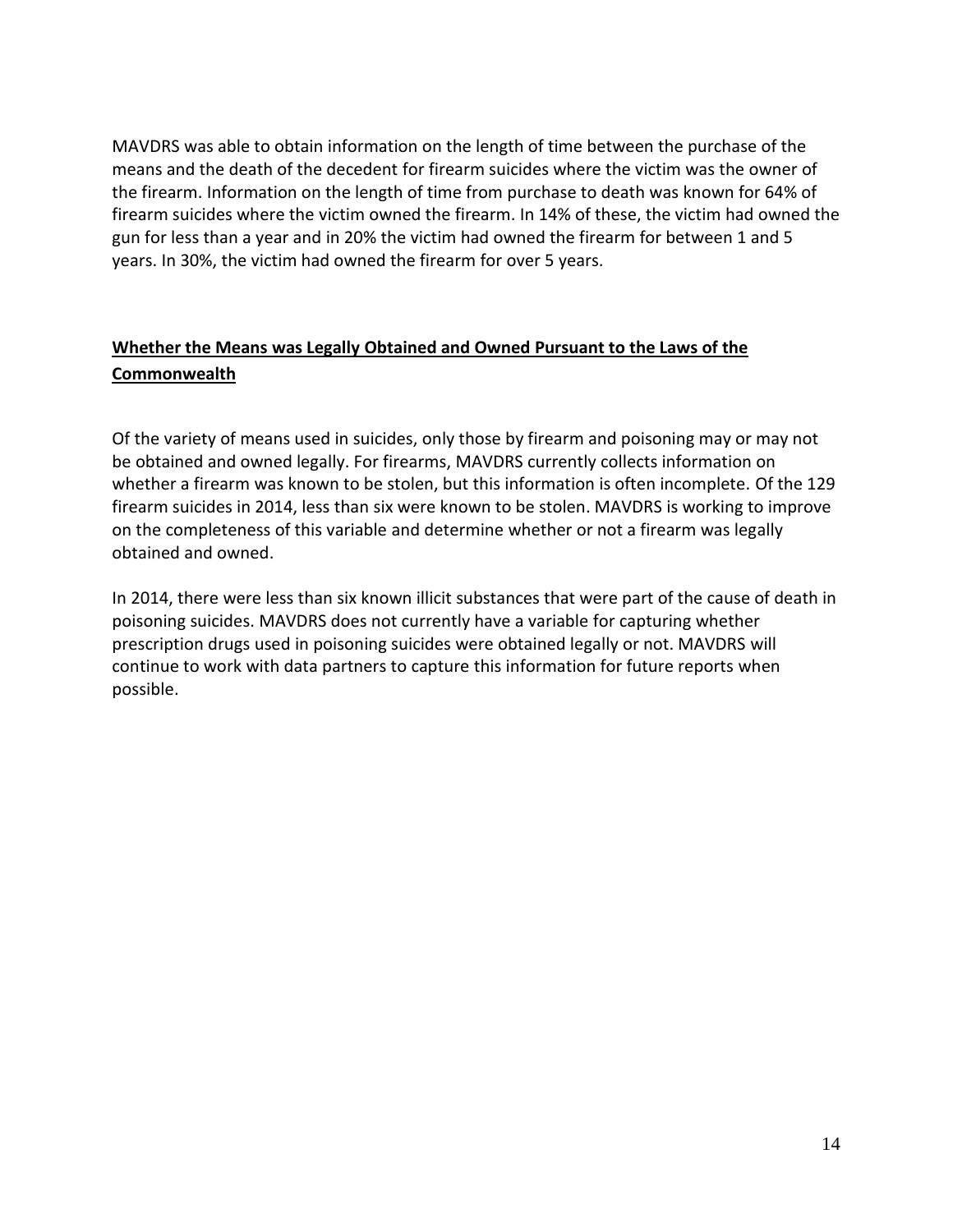MAVDRS was able to obtain information on the length of time between the purchase of the means and the death of the decedent for firearm suicides where the victim was the owner of the firearm. Information on the length of time from purchase to death was known for 64% of firearm suicides where the victim owned the firearm. In 14% of these, the victim had owned the gun for less than a year and in 20% the victim had owned the firearm for between 1 and 5 years. In 30%, the victim had owned the firearm for over 5 years.

## **Whether the Means was Legally Obtained and Owned Pursuant to the Laws of the Commonwealth**

Of the variety of means used in suicides, only those by firearm and poisoning may or may not be obtained and owned legally. For firearms, MAVDRS currently collects information on whether a firearm was known to be stolen, but this information is often incomplete. Of the 129 firearm suicides in 2014, less than six were known to be stolen. MAVDRS is working to improve on the completeness of this variable and determine whether or not a firearm was legally obtained and owned.

In 2014, there were less than six known illicit substances that were part of the cause of death in poisoning suicides. MAVDRS does not currently have a variable for capturing whether prescription drugs used in poisoning suicides were obtained legally or not. MAVDRS will continue to work with data partners to capture this information for future reports when possible.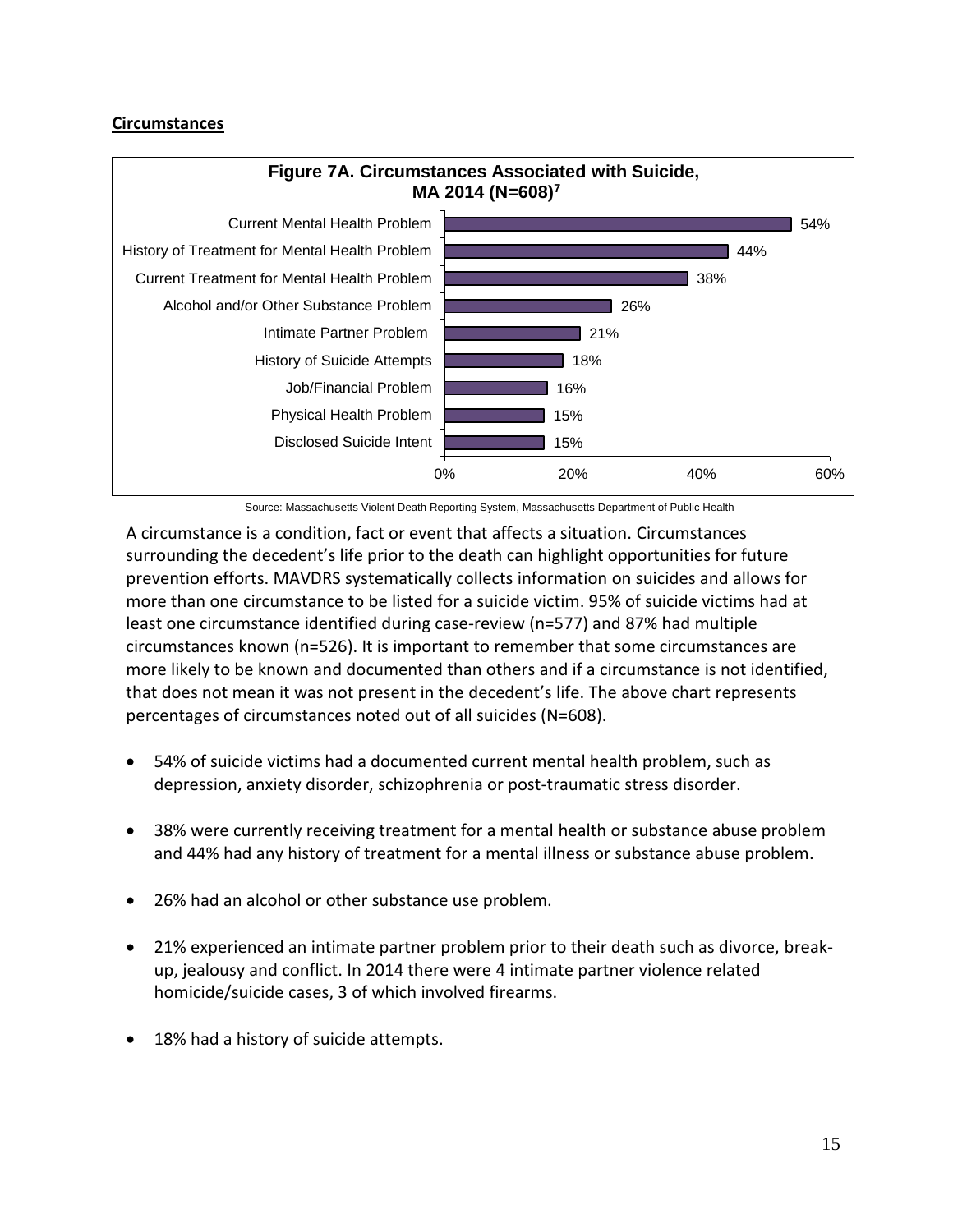#### **Circumstances**



Source: Massachusetts Violent Death Reporting System, Massachusetts Department of Public Health

A circumstance is a condition, fact or event that affects a situation. Circumstances surrounding the decedent's life prior to the death can highlight opportunities for future prevention efforts. MAVDRS systematically collects information on suicides and allows for more than one circumstance to be listed for a suicide victim. 95% of suicide victims had at least one circumstance identified during case-review (n=577) and 87% had multiple circumstances known (n=526). It is important to remember that some circumstances are more likely to be known and documented than others and if a circumstance is not identified, that does not mean it was not present in the decedent's life. The above chart represents percentages of circumstances noted out of all suicides (N=608).

- 54% of suicide victims had a documented current mental health problem, such as depression, anxiety disorder, schizophrenia or post-traumatic stress disorder.
- 38% were currently receiving treatment for a mental health or substance abuse problem and 44% had any history of treatment for a mental illness or substance abuse problem.
- 26% had an alcohol or other substance use problem.
- 21% experienced an intimate partner problem prior to their death such as divorce, breakup, jealousy and conflict. In 2014 there were 4 intimate partner violence related homicide/suicide cases, 3 of which involved firearms.
- 18% had a history of suicide attempts.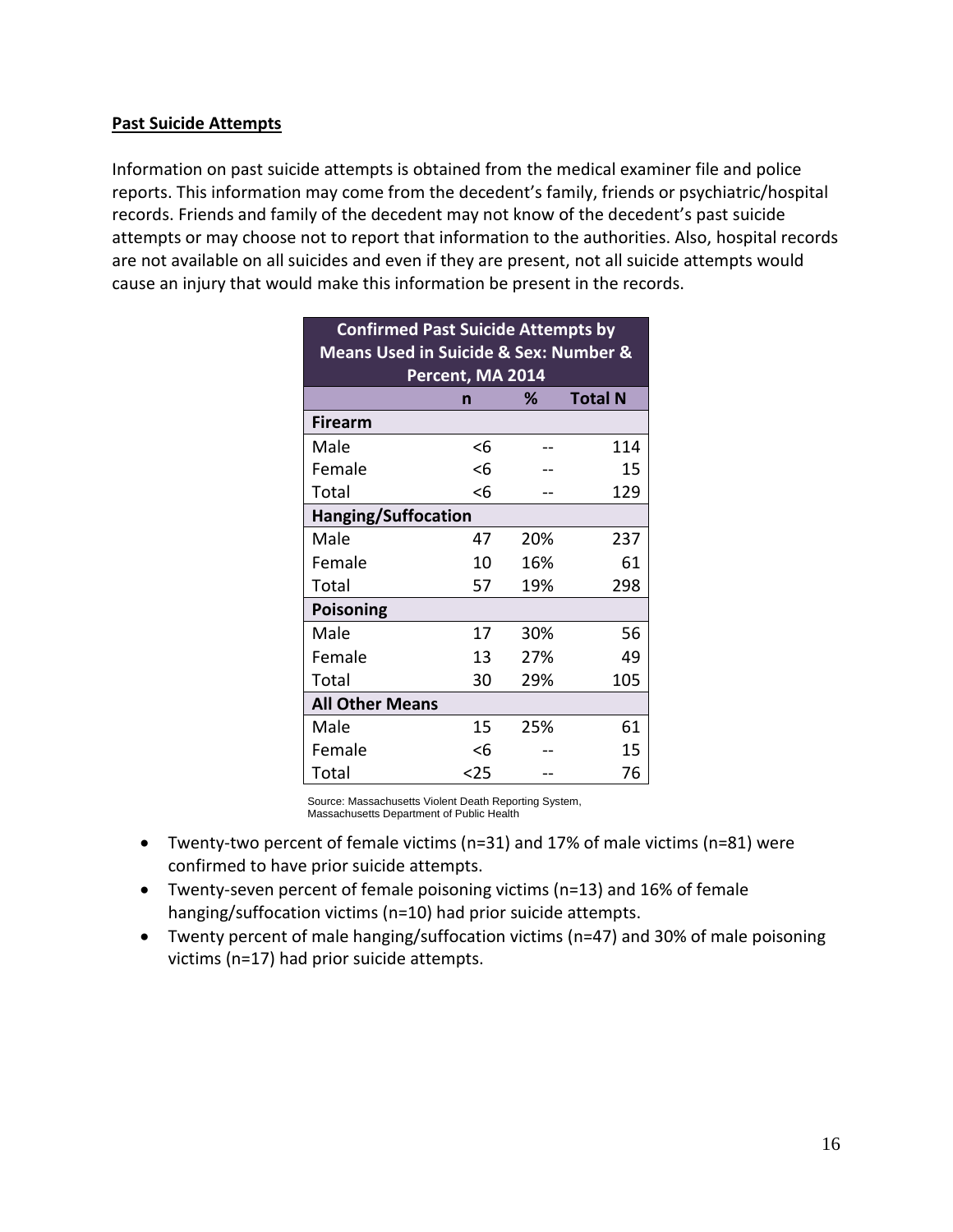#### **Past Suicide Attempts**

Information on past suicide attempts is obtained from the medical examiner file and police reports. This information may come from the decedent's family, friends or psychiatric/hospital records. Friends and family of the decedent may not know of the decedent's past suicide attempts or may choose not to report that information to the authorities. Also, hospital records are not available on all suicides and even if they are present, not all suicide attempts would cause an injury that would make this information be present in the records.

| <b>Confirmed Past Suicide Attempts by</b><br><b>Means Used in Suicide &amp; Sex: Number &amp;</b> |                            |     |                |  |  |  |  |
|---------------------------------------------------------------------------------------------------|----------------------------|-----|----------------|--|--|--|--|
|                                                                                                   | Percent, MA 2014<br>%      |     |                |  |  |  |  |
| <b>Firearm</b>                                                                                    | n                          |     | <b>Total N</b> |  |  |  |  |
|                                                                                                   |                            |     |                |  |  |  |  |
| Male                                                                                              | <6                         |     | 114            |  |  |  |  |
| Female                                                                                            | <6                         |     | 15             |  |  |  |  |
| Total                                                                                             | <6                         |     | 129            |  |  |  |  |
|                                                                                                   | <b>Hanging/Suffocation</b> |     |                |  |  |  |  |
| Male                                                                                              | 47                         | 20% | 237            |  |  |  |  |
| Female                                                                                            | 10                         | 16% | 61             |  |  |  |  |
| Total                                                                                             | 57                         | 19% | 298            |  |  |  |  |
| <b>Poisoning</b>                                                                                  |                            |     |                |  |  |  |  |
| Male                                                                                              | 17                         | 30% | 56             |  |  |  |  |
| Female                                                                                            | 13                         | 27% | 49             |  |  |  |  |
| Total                                                                                             | 30                         | 29% | 105            |  |  |  |  |
| <b>All Other Means</b>                                                                            |                            |     |                |  |  |  |  |
| Male                                                                                              | 15                         | 25% | 61             |  |  |  |  |
| Female                                                                                            | <6                         |     | 15             |  |  |  |  |
| Total                                                                                             | <25                        |     | 76             |  |  |  |  |

Source: Massachusetts Violent Death Reporting System, Massachusetts Department of Public Health

- Twenty-two percent of female victims (n=31) and 17% of male victims (n=81) were confirmed to have prior suicide attempts.
- Twenty-seven percent of female poisoning victims (n=13) and 16% of female hanging/suffocation victims (n=10) had prior suicide attempts.
- Twenty percent of male hanging/suffocation victims (n=47) and 30% of male poisoning victims (n=17) had prior suicide attempts.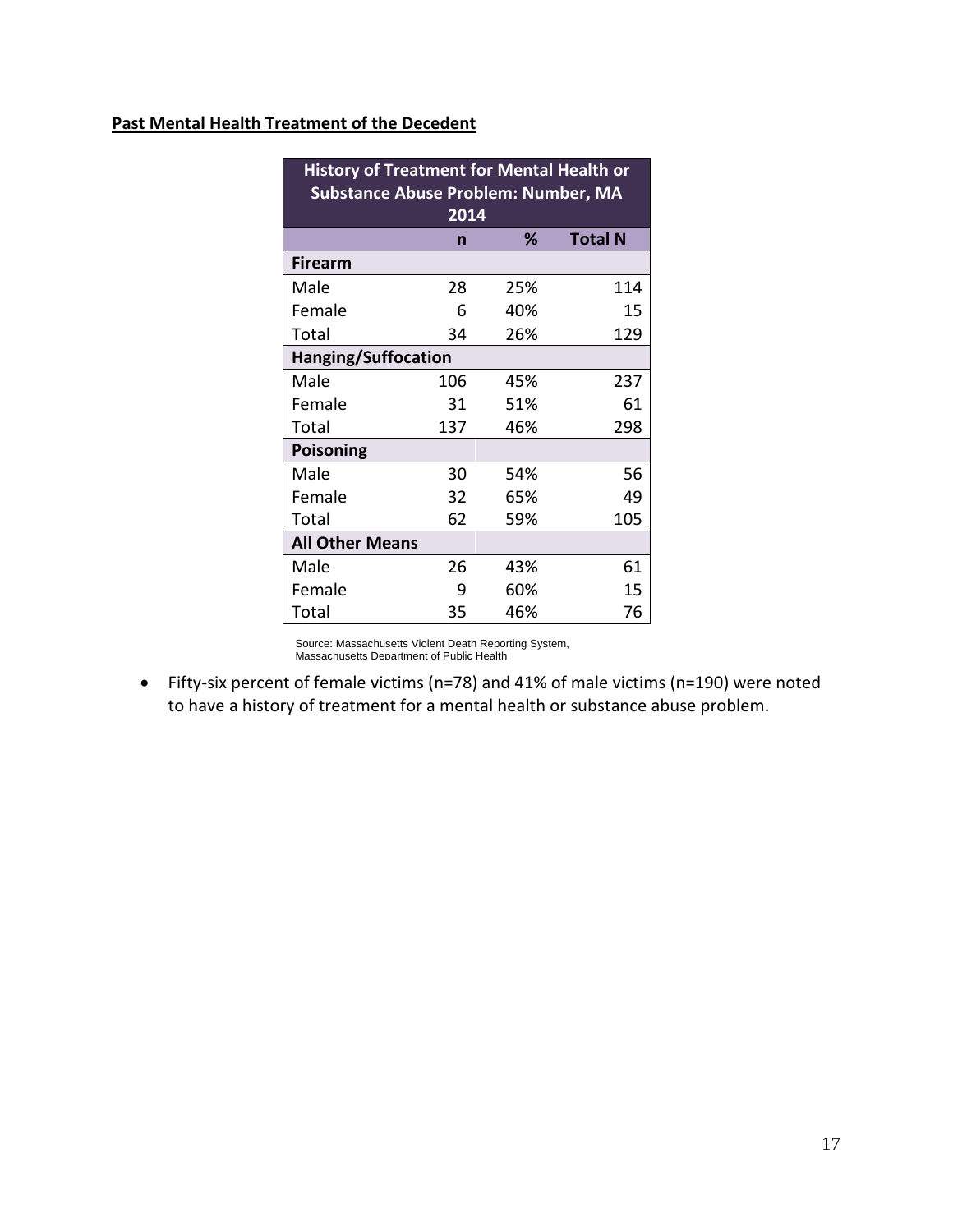#### **Past Mental Health Treatment of the Decedent**

| <b>History of Treatment for Mental Health or</b><br><b>Substance Abuse Problem: Number, MA</b> |      |     |                |  |  |  |
|------------------------------------------------------------------------------------------------|------|-----|----------------|--|--|--|
|                                                                                                | 2014 |     |                |  |  |  |
|                                                                                                | n    | ℅   | <b>Total N</b> |  |  |  |
| <b>Firearm</b>                                                                                 |      |     |                |  |  |  |
| Male                                                                                           | 28   | 25% | 114            |  |  |  |
| Female                                                                                         | 6    | 40% | 15             |  |  |  |
| Total                                                                                          | 34   | 26% | 129            |  |  |  |
| <b>Hanging/Suffocation</b>                                                                     |      |     |                |  |  |  |
| Male                                                                                           | 106  | 45% | 237            |  |  |  |
| Female                                                                                         | 31   | 51% | 61             |  |  |  |
| Total                                                                                          | 137  | 46% | 298            |  |  |  |
| <b>Poisoning</b>                                                                               |      |     |                |  |  |  |
| Male                                                                                           | 30   | 54% | 56             |  |  |  |
| Female                                                                                         | 32   | 65% | 49             |  |  |  |
| Total                                                                                          | 62   | 59% | 105            |  |  |  |
| <b>All Other Means</b>                                                                         |      |     |                |  |  |  |
| Male                                                                                           | 26   | 43% | 61             |  |  |  |
| Female                                                                                         | 9    | 60% | 15             |  |  |  |
| Total                                                                                          | 35   | 46% | 76             |  |  |  |

Source: Massachusetts Violent Death Reporting System, Massachusetts Department of Public Health

 Fifty-six percent of female victims (n=78) and 41% of male victims (n=190) were noted to have a history of treatment for a mental health or substance abuse problem.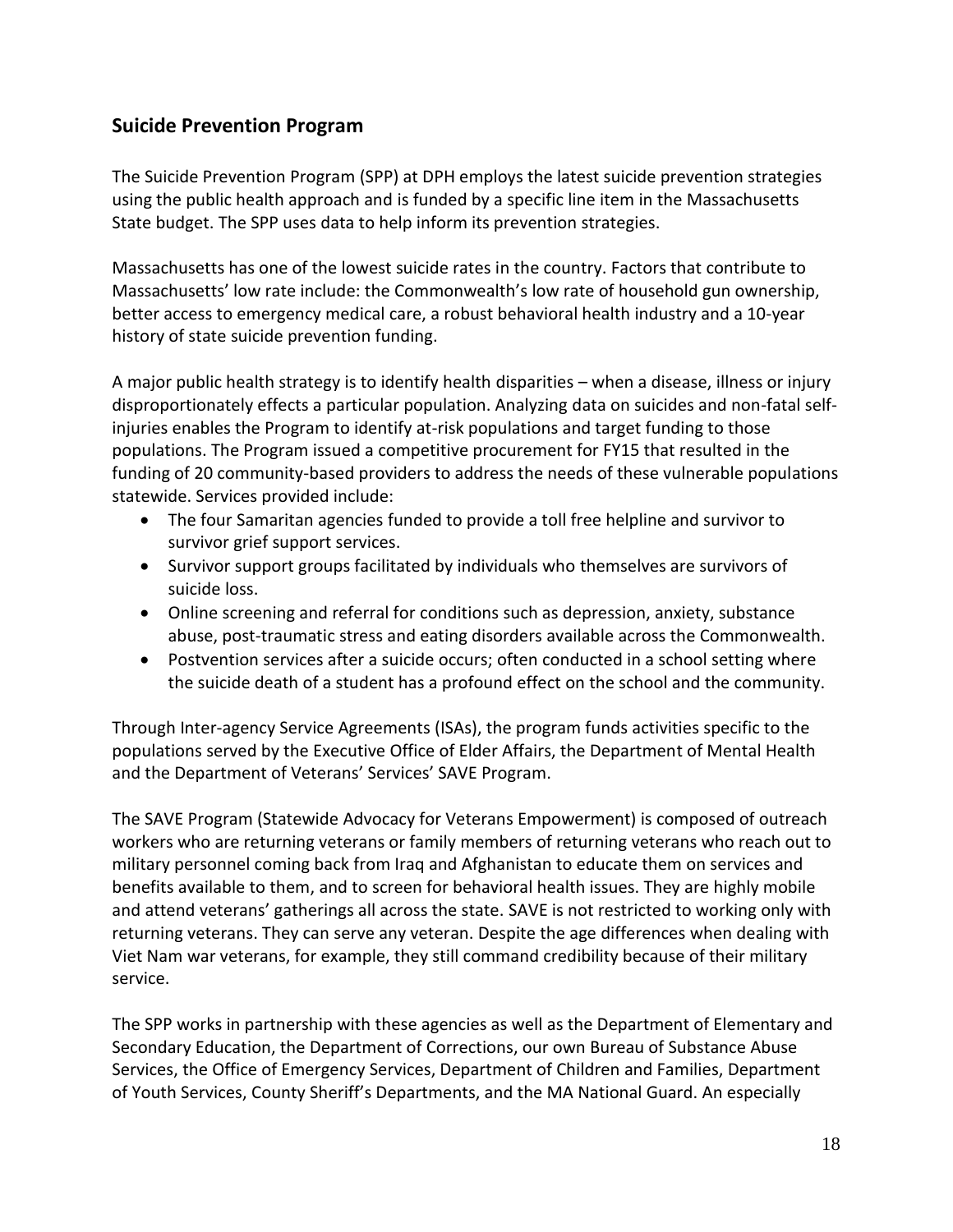## **Suicide Prevention Program**

The Suicide Prevention Program (SPP) at DPH employs the latest suicide prevention strategies using the public health approach and is funded by a specific line item in the Massachusetts State budget. The SPP uses data to help inform its prevention strategies.

Massachusetts has one of the lowest suicide rates in the country. Factors that contribute to Massachusetts' low rate include: the Commonwealth's low rate of household gun ownership, better access to emergency medical care, a robust behavioral health industry and a 10-year history of state suicide prevention funding.

A major public health strategy is to identify health disparities – when a disease, illness or injury disproportionately effects a particular population. Analyzing data on suicides and non-fatal selfinjuries enables the Program to identify at-risk populations and target funding to those populations. The Program issued a competitive procurement for FY15 that resulted in the funding of 20 community-based providers to address the needs of these vulnerable populations statewide. Services provided include:

- The four Samaritan agencies funded to provide a toll free helpline and survivor to survivor grief support services.
- Survivor support groups facilitated by individuals who themselves are survivors of suicide loss.
- Online screening and referral for conditions such as depression, anxiety, substance abuse, post-traumatic stress and eating disorders available across the Commonwealth.
- Postvention services after a suicide occurs; often conducted in a school setting where the suicide death of a student has a profound effect on the school and the community.

Through Inter-agency Service Agreements (ISAs), the program funds activities specific to the populations served by the Executive Office of Elder Affairs, the Department of Mental Health and the Department of Veterans' Services' SAVE Program.

The SAVE Program (Statewide Advocacy for Veterans Empowerment) is composed of outreach workers who are returning veterans or family members of returning veterans who reach out to military personnel coming back from Iraq and Afghanistan to educate them on services and benefits available to them, and to screen for behavioral health issues. They are highly mobile and attend veterans' gatherings all across the state. SAVE is not restricted to working only with returning veterans. They can serve any veteran. Despite the age differences when dealing with Viet Nam war veterans, for example, they still command credibility because of their military service.

The SPP works in partnership with these agencies as well as the Department of Elementary and Secondary Education, the Department of Corrections, our own Bureau of Substance Abuse Services, the Office of Emergency Services, Department of Children and Families, Department of Youth Services, County Sheriff's Departments, and the MA National Guard. An especially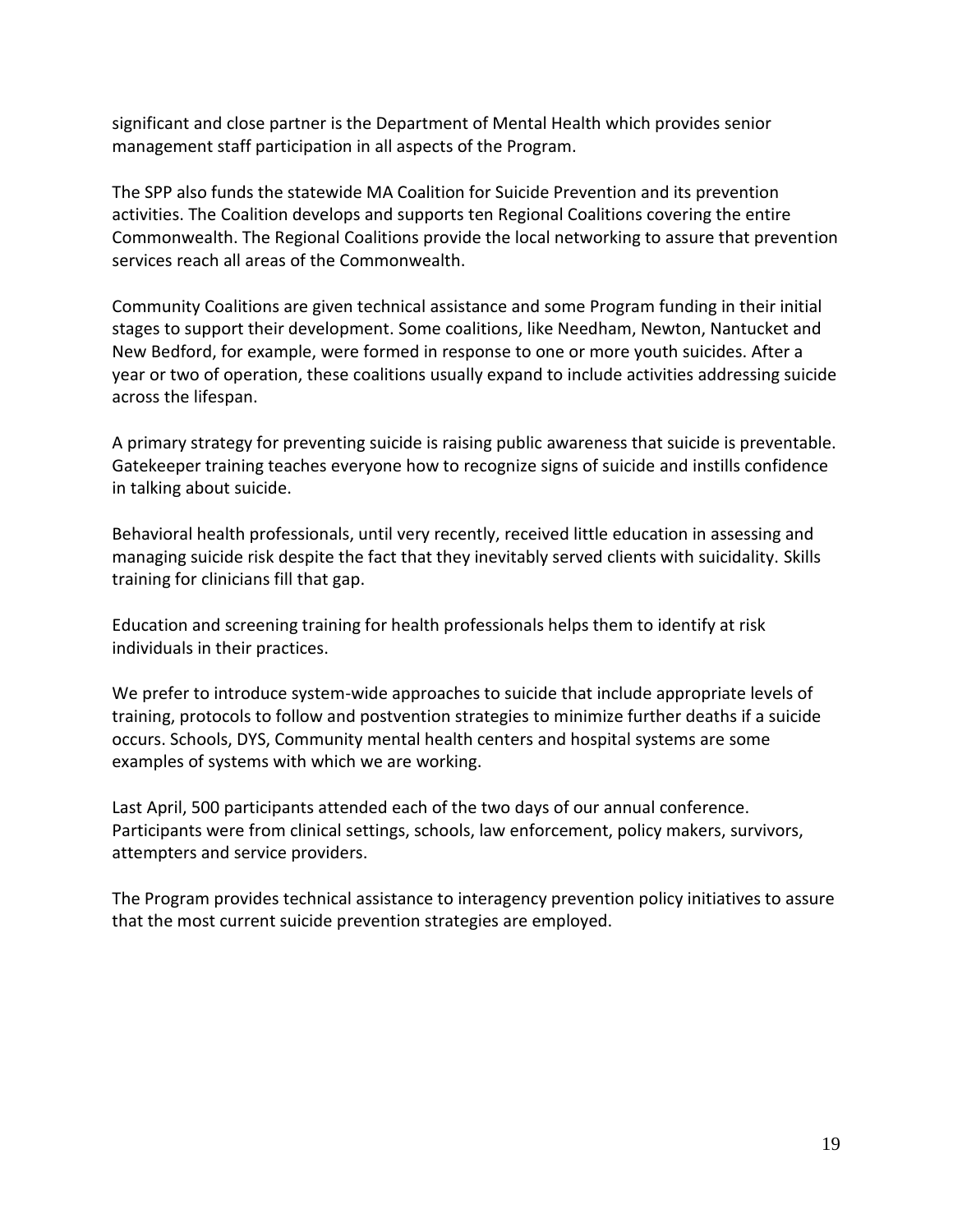significant and close partner is the Department of Mental Health which provides senior management staff participation in all aspects of the Program.

The SPP also funds the statewide MA Coalition for Suicide Prevention and its prevention activities. The Coalition develops and supports ten Regional Coalitions covering the entire Commonwealth. The Regional Coalitions provide the local networking to assure that prevention services reach all areas of the Commonwealth.

Community Coalitions are given technical assistance and some Program funding in their initial stages to support their development. Some coalitions, like Needham, Newton, Nantucket and New Bedford, for example, were formed in response to one or more youth suicides. After a year or two of operation, these coalitions usually expand to include activities addressing suicide across the lifespan.

A primary strategy for preventing suicide is raising public awareness that suicide is preventable. Gatekeeper training teaches everyone how to recognize signs of suicide and instills confidence in talking about suicide.

Behavioral health professionals, until very recently, received little education in assessing and managing suicide risk despite the fact that they inevitably served clients with suicidality. Skills training for clinicians fill that gap.

Education and screening training for health professionals helps them to identify at risk individuals in their practices.

We prefer to introduce system-wide approaches to suicide that include appropriate levels of training, protocols to follow and postvention strategies to minimize further deaths if a suicide occurs. Schools, DYS, Community mental health centers and hospital systems are some examples of systems with which we are working.

Last April, 500 participants attended each of the two days of our annual conference. Participants were from clinical settings, schools, law enforcement, policy makers, survivors, attempters and service providers.

The Program provides technical assistance to interagency prevention policy initiatives to assure that the most current suicide prevention strategies are employed.